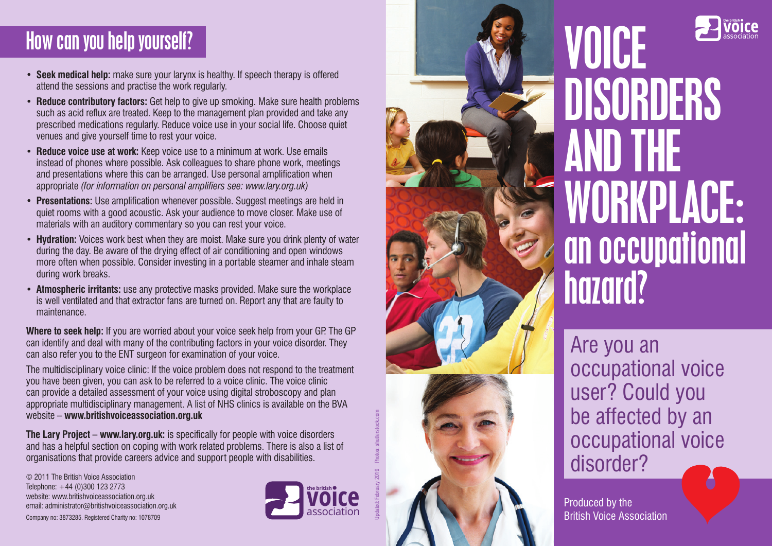### How can you help yourself?

- **Seek medical help:** make sure your larynx is healthy. If speech therapy is offered attend the sessions and practise the work regularly.
- **Reduce contributory factors:** Get help to give up smoking. Make sure health problems such as acid reflux are treated. Keep to the management plan provided and take any prescribed medications regularly. Reduce voice use in your social life. Choose quiet venues and give yourself time to rest your voice.
- **Reduce voice use at work:** Keep voice use to a minimum at work. Use emails instead of phones where possible. Ask colleagues to share phone work, meetings and presentations where this can be arranged. Use personal amplification when appropriate *(for information on personal amplifiers see: www.lary.org.uk)*
- **Presentations:** Use amplification whenever possible. Suggest meetings are held in quiet rooms with a good acoustic. Ask your audience to move closer. Make use of materials with an auditory commentary so you can rest your voice.
- **Hydration:** Voices work best when they are moist. Make sure you drink plenty of water during the day. Be aware of the drying effect of air conditioning and open windows more often when possible. Consider investing in a portable steamer and inhale steam during work breaks.
- **Atmospheric irritants:** use any protective masks provided. Make sure the workplace is well ventilated and that extractor fans are turned on. Report any that are faulty to maintenance.

**Where to seek help:** If you are worried about your voice seek help from your GP. The GP can identify and deal with many of the contributing factors in your voice disorder. They can also refer you to the ENT surgeon for examination of your voice.

The multidisciplinary voice clinic: If the voice problem does not respond to the treatment you have been given, you can ask to be referred to a voice clinic. The voice clinic can provide a detailed assessment of your voice using digital stroboscopy and plan appropriate multidisciplinary management. A list of NHS clinics is available on the BVA website – **www.britishvoiceassociation.org.uk**

**The Lary Project – www.lary.org.uk:** is specifically for people with voice disorders and has a helpful section on coping with work related problems. There is also a list of organisations that provide careers advice and support people with disabilities.

© 2011 The British Voice Association Telephone: +44 (0)300 123 2773 website: www.britishvoiceassociation.org.uk email: administrator@britishvoiceassociation.org.uk Company no: 3873285. Registered Charity no: 1078709



Updated: February 2019 Photos: shutterstock.com





# VOICE DISORDERS AND THE WORKPLACE: an occupational hazard?

Are you an occupational voice user? Could you be affected by an occupational voice disorder?

Produced by the British Voice Association